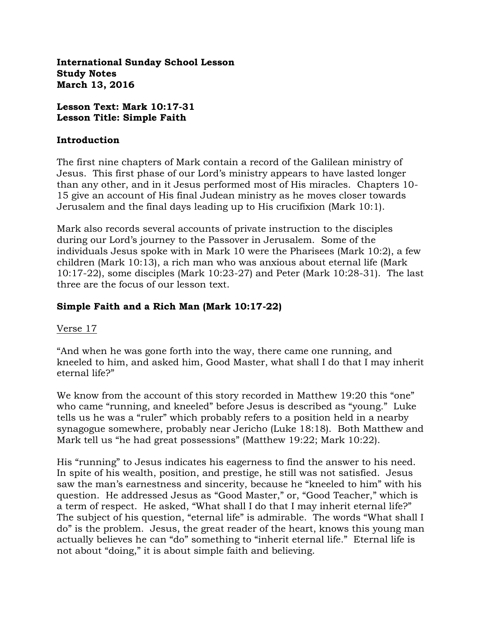**International Sunday School Lesson Study Notes March 13, 2016**

**Lesson Text: Mark 10:17-31 Lesson Title: Simple Faith**

#### **Introduction**

The first nine chapters of Mark contain a record of the Galilean ministry of Jesus. This first phase of our Lord's ministry appears to have lasted longer than any other, and in it Jesus performed most of His miracles. Chapters 10- 15 give an account of His final Judean ministry as he moves closer towards Jerusalem and the final days leading up to His crucifixion (Mark 10:1).

Mark also records several accounts of private instruction to the disciples during our Lord's journey to the Passover in Jerusalem. Some of the individuals Jesus spoke with in Mark 10 were the Pharisees (Mark 10:2), a few children (Mark 10:13), a rich man who was anxious about eternal life (Mark 10:17-22), some disciples (Mark 10:23-27) and Peter (Mark 10:28-31). The last three are the focus of our lesson text.

### **Simple Faith and a Rich Man (Mark 10:17-22)**

### Verse 17

"And when he was gone forth into the way, there came one running, and kneeled to him, and asked him, Good Master, what shall I do that I may inherit eternal life?"

We know from the account of this story recorded in Matthew 19:20 this "one" who came "running, and kneeled" before Jesus is described as "young." Luke tells us he was a "ruler" which probably refers to a position held in a nearby synagogue somewhere, probably near Jericho (Luke 18:18). Both Matthew and Mark tell us "he had great possessions" (Matthew 19:22; Mark 10:22).

His "running" to Jesus indicates his eagerness to find the answer to his need. In spite of his wealth, position, and prestige, he still was not satisfied. Jesus saw the man's earnestness and sincerity, because he "kneeled to him" with his question. He addressed Jesus as "Good Master," or, "Good Teacher," which is a term of respect. He asked, "What shall I do that I may inherit eternal life?" The subject of his question, "eternal life" is admirable. The words "What shall I do" is the problem. Jesus, the great reader of the heart, knows this young man actually believes he can "do" something to "inherit eternal life." Eternal life is not about "doing," it is about simple faith and believing.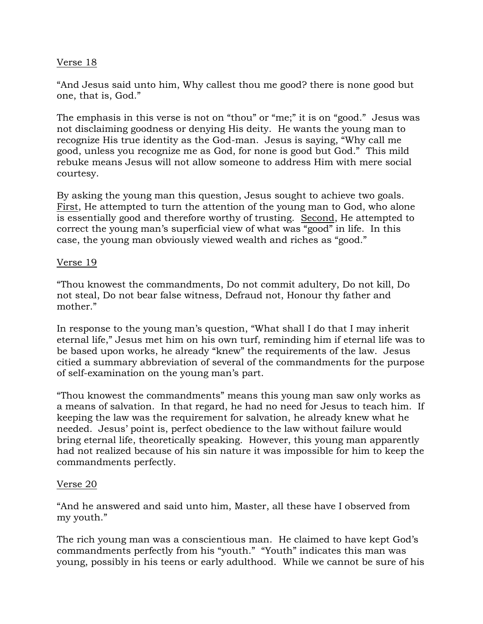## Verse 18

"And Jesus said unto him, Why callest thou me good? there is none good but one, that is, God."

The emphasis in this verse is not on "thou" or "me;" it is on "good." Jesus was not disclaiming goodness or denying His deity. He wants the young man to recognize His true identity as the God-man. Jesus is saying, "Why call me good, unless you recognize me as God, for none is good but God." This mild rebuke means Jesus will not allow someone to address Him with mere social courtesy.

By asking the young man this question, Jesus sought to achieve two goals. First, He attempted to turn the attention of the young man to God, who alone is essentially good and therefore worthy of trusting. Second, He attempted to correct the young man's superficial view of what was "good" in life. In this case, the young man obviously viewed wealth and riches as "good."

### Verse 19

"Thou knowest the commandments, Do not commit adultery, Do not kill, Do not steal, Do not bear false witness, Defraud not, Honour thy father and mother."

In response to the young man's question, "What shall I do that I may inherit eternal life," Jesus met him on his own turf, reminding him if eternal life was to be based upon works, he already "knew" the requirements of the law. Jesus citied a summary abbreviation of several of the commandments for the purpose of self-examination on the young man's part.

"Thou knowest the commandments" means this young man saw only works as a means of salvation. In that regard, he had no need for Jesus to teach him. If keeping the law was the requirement for salvation, he already knew what he needed. Jesus' point is, perfect obedience to the law without failure would bring eternal life, theoretically speaking. However, this young man apparently had not realized because of his sin nature it was impossible for him to keep the commandments perfectly.

### Verse 20

"And he answered and said unto him, Master, all these have I observed from my youth."

The rich young man was a conscientious man. He claimed to have kept God's commandments perfectly from his "youth." "Youth" indicates this man was young, possibly in his teens or early adulthood. While we cannot be sure of his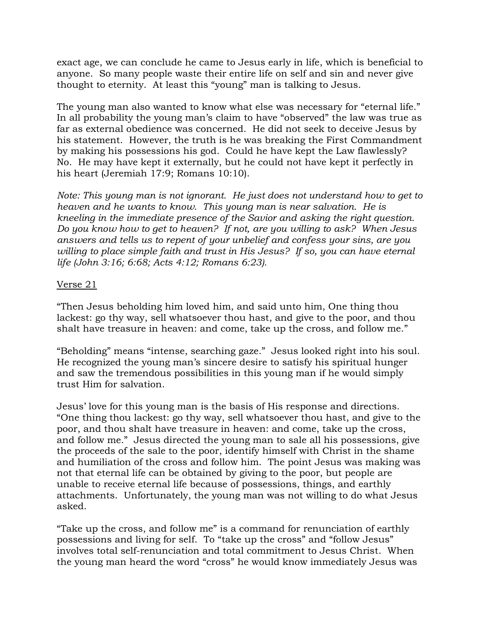exact age, we can conclude he came to Jesus early in life, which is beneficial to anyone. So many people waste their entire life on self and sin and never give thought to eternity. At least this "young" man is talking to Jesus.

The young man also wanted to know what else was necessary for "eternal life." In all probability the young man's claim to have "observed" the law was true as far as external obedience was concerned. He did not seek to deceive Jesus by his statement. However, the truth is he was breaking the First Commandment by making his possessions his god. Could he have kept the Law flawlessly? No. He may have kept it externally, but he could not have kept it perfectly in his heart (Jeremiah 17:9; Romans 10:10).

*Note: This young man is not ignorant. He just does not understand how to get to heaven and he wants to know. This young man is near salvation. He is kneeling in the immediate presence of the Savior and asking the right question. Do you know how to get to heaven? If not, are you willing to ask? When Jesus answers and tells us to repent of your unbelief and confess your sins, are you willing to place simple faith and trust in His Jesus? If so, you can have eternal life (John 3:16; 6:68; Acts 4:12; Romans 6:23).* 

## Verse 21

"Then Jesus beholding him loved him, and said unto him, One thing thou lackest: go thy way, sell whatsoever thou hast, and give to the poor, and thou shalt have treasure in heaven: and come, take up the cross, and follow me."

"Beholding" means "intense, searching gaze." Jesus looked right into his soul. He recognized the young man's sincere desire to satisfy his spiritual hunger and saw the tremendous possibilities in this young man if he would simply trust Him for salvation.

Jesus' love for this young man is the basis of His response and directions. "One thing thou lackest: go thy way, sell whatsoever thou hast, and give to the poor, and thou shalt have treasure in heaven: and come, take up the cross, and follow me." Jesus directed the young man to sale all his possessions, give the proceeds of the sale to the poor, identify himself with Christ in the shame and humiliation of the cross and follow him. The point Jesus was making was not that eternal life can be obtained by giving to the poor, but people are unable to receive eternal life because of possessions, things, and earthly attachments. Unfortunately, the young man was not willing to do what Jesus asked.

"Take up the cross, and follow me" is a command for renunciation of earthly possessions and living for self. To "take up the cross" and "follow Jesus" involves total self-renunciation and total commitment to Jesus Christ. When the young man heard the word "cross" he would know immediately Jesus was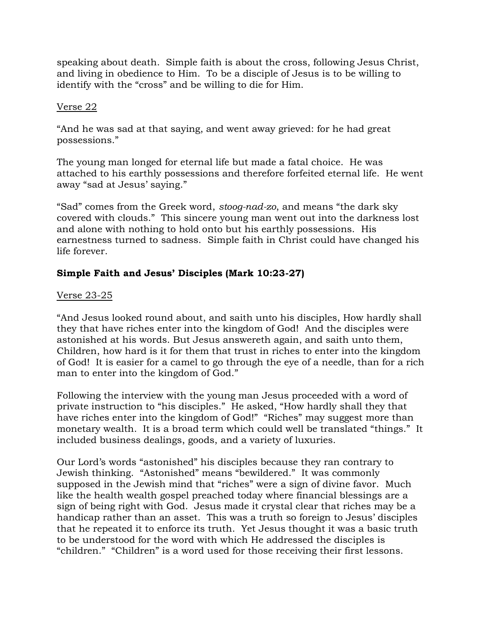speaking about death. Simple faith is about the cross, following Jesus Christ, and living in obedience to Him. To be a disciple of Jesus is to be willing to identify with the "cross" and be willing to die for Him.

## Verse 22

"And he was sad at that saying, and went away grieved: for he had great possessions."

The young man longed for eternal life but made a fatal choice. He was attached to his earthly possessions and therefore forfeited eternal life. He went away "sad at Jesus' saying."

"Sad" comes from the Greek word, *stoog-nad-zo*, and means "the dark sky covered with clouds." This sincere young man went out into the darkness lost and alone with nothing to hold onto but his earthly possessions. His earnestness turned to sadness. Simple faith in Christ could have changed his life forever.

# **Simple Faith and Jesus' Disciples (Mark 10:23-27)**

## Verse 23-25

"And Jesus looked round about, and saith unto his disciples, How hardly shall they that have riches enter into the kingdom of God! And the disciples were astonished at his words. But Jesus answereth again, and saith unto them, Children, how hard is it for them that trust in riches to enter into the kingdom of God! It is easier for a camel to go through the eye of a needle, than for a rich man to enter into the kingdom of God."

Following the interview with the young man Jesus proceeded with a word of private instruction to "his disciples." He asked, "How hardly shall they that have riches enter into the kingdom of God!" "Riches" may suggest more than monetary wealth. It is a broad term which could well be translated "things." It included business dealings, goods, and a variety of luxuries.

Our Lord's words "astonished" his disciples because they ran contrary to Jewish thinking. "Astonished" means "bewildered." It was commonly supposed in the Jewish mind that "riches" were a sign of divine favor. Much like the health wealth gospel preached today where financial blessings are a sign of being right with God. Jesus made it crystal clear that riches may be a handicap rather than an asset. This was a truth so foreign to Jesus' disciples that he repeated it to enforce its truth. Yet Jesus thought it was a basic truth to be understood for the word with which He addressed the disciples is "children." "Children" is a word used for those receiving their first lessons.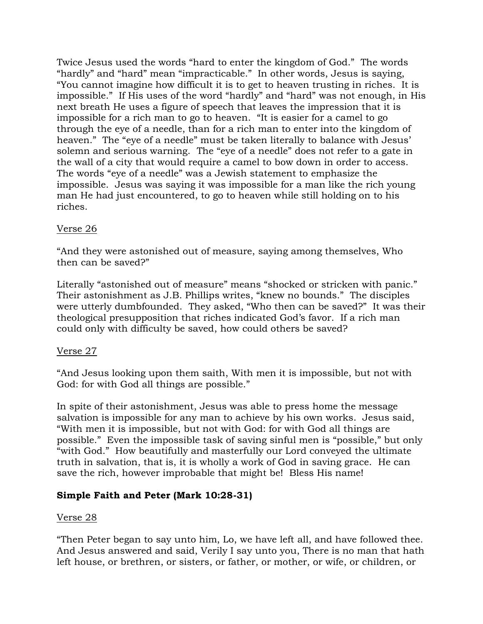Twice Jesus used the words "hard to enter the kingdom of God." The words "hardly" and "hard" mean "impracticable." In other words, Jesus is saying, "You cannot imagine how difficult it is to get to heaven trusting in riches. It is impossible." If His uses of the word "hardly" and "hard" was not enough, in His next breath He uses a figure of speech that leaves the impression that it is impossible for a rich man to go to heaven. "It is easier for a camel to go through the eye of a needle, than for a rich man to enter into the kingdom of heaven." The "eye of a needle" must be taken literally to balance with Jesus' solemn and serious warning. The "eye of a needle" does not refer to a gate in the wall of a city that would require a camel to bow down in order to access. The words "eye of a needle" was a Jewish statement to emphasize the impossible. Jesus was saying it was impossible for a man like the rich young man He had just encountered, to go to heaven while still holding on to his riches.

# Verse 26

"And they were astonished out of measure, saying among themselves, Who then can be saved?"

Literally "astonished out of measure" means "shocked or stricken with panic." Their astonishment as J.B. Phillips writes, "knew no bounds." The disciples were utterly dumbfounded. They asked, "Who then can be saved?" It was their theological presupposition that riches indicated God's favor. If a rich man could only with difficulty be saved, how could others be saved?

# Verse 27

"And Jesus looking upon them saith, With men it is impossible, but not with God: for with God all things are possible."

In spite of their astonishment, Jesus was able to press home the message salvation is impossible for any man to achieve by his own works. Jesus said, "With men it is impossible, but not with God: for with God all things are possible." Even the impossible task of saving sinful men is "possible," but only "with God." How beautifully and masterfully our Lord conveyed the ultimate truth in salvation, that is, it is wholly a work of God in saving grace. He can save the rich, however improbable that might be! Bless His name!

# **Simple Faith and Peter (Mark 10:28-31)**

### Verse 28

"Then Peter began to say unto him, Lo, we have left all, and have followed thee. And Jesus answered and said, Verily I say unto you, There is no man that hath left house, or brethren, or sisters, or father, or mother, or wife, or children, or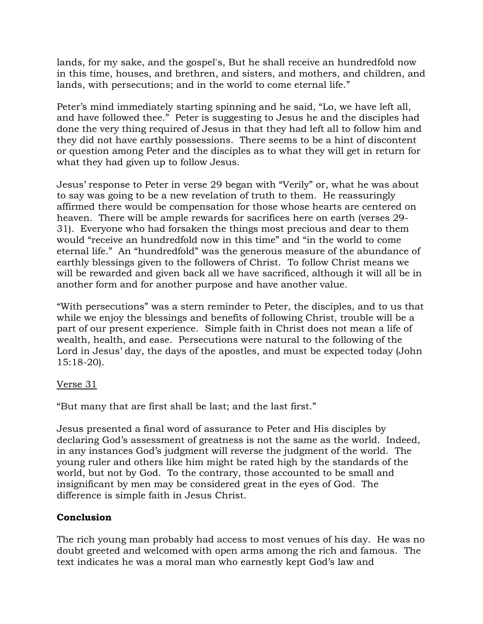lands, for my sake, and the gospel's, But he shall receive an hundredfold now in this time, houses, and brethren, and sisters, and mothers, and children, and lands, with persecutions; and in the world to come eternal life."

Peter's mind immediately starting spinning and he said, "Lo, we have left all, and have followed thee." Peter is suggesting to Jesus he and the disciples had done the very thing required of Jesus in that they had left all to follow him and they did not have earthly possessions. There seems to be a hint of discontent or question among Peter and the disciples as to what they will get in return for what they had given up to follow Jesus.

Jesus' response to Peter in verse 29 began with "Verily" or, what he was about to say was going to be a new revelation of truth to them. He reassuringly affirmed there would be compensation for those whose hearts are centered on heaven. There will be ample rewards for sacrifices here on earth (verses 29- 31). Everyone who had forsaken the things most precious and dear to them would "receive an hundredfold now in this time" and "in the world to come eternal life." An "hundredfold" was the generous measure of the abundance of earthly blessings given to the followers of Christ. To follow Christ means we will be rewarded and given back all we have sacrificed, although it will all be in another form and for another purpose and have another value.

"With persecutions" was a stern reminder to Peter, the disciples, and to us that while we enjoy the blessings and benefits of following Christ, trouble will be a part of our present experience. Simple faith in Christ does not mean a life of wealth, health, and ease. Persecutions were natural to the following of the Lord in Jesus' day, the days of the apostles, and must be expected today (John 15:18-20).

# Verse 31

"But many that are first shall be last; and the last first."

Jesus presented a final word of assurance to Peter and His disciples by declaring God's assessment of greatness is not the same as the world. Indeed, in any instances God's judgment will reverse the judgment of the world. The young ruler and others like him might be rated high by the standards of the world, but not by God. To the contrary, those accounted to be small and insignificant by men may be considered great in the eyes of God. The difference is simple faith in Jesus Christ.

# **Conclusion**

The rich young man probably had access to most venues of his day. He was no doubt greeted and welcomed with open arms among the rich and famous. The text indicates he was a moral man who earnestly kept God's law and